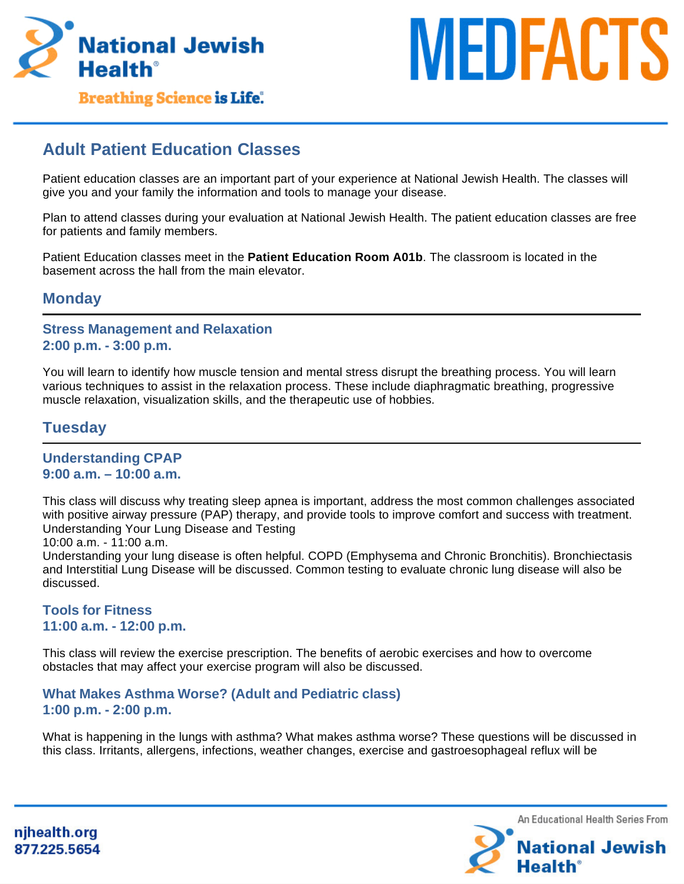



**Breathing Science is Life.** 

# **Adult Patient Education Classes**

Patient education classes are an important part of your experience at National Jewish Health. The classes will give you and your family the information and tools to manage your disease.

Plan to attend classes during your evaluation at National Jewish Health. The patient education classes are free for patients and family members.

Patient Education classes meet in the **Patient Education Room A01b**. The classroom is located in the basement across the hall from the main elevator.

### **Monday**

#### **Stress Management and Relaxation 2:00 p.m. - 3:00 p.m.**

You will learn to identify how muscle tension and mental stress disrupt the breathing process. You will learn various techniques to assist in the relaxation process. These include diaphragmatic breathing, progressive muscle relaxation, visualization skills, and the therapeutic use of hobbies.

## **Tuesday**

### **Understanding CPAP 9:00 a.m. – 10:00 a.m.**

This class will discuss why treating sleep apnea is important, address the most common challenges associated with positive airway pressure (PAP) therapy, and provide tools to improve comfort and success with treatment. Understanding Your Lung Disease and Testing

10:00 a.m. - 11:00 a.m.

Understanding your lung disease is often helpful. COPD (Emphysema and Chronic Bronchitis). Bronchiectasis and Interstitial Lung Disease will be discussed. Common testing to evaluate chronic lung disease will also be discussed.

### **Tools for Fitness 11:00 a.m. - 12:00 p.m.**

This class will review the exercise prescription. The benefits of aerobic exercises and how to overcome obstacles that may affect your exercise program will also be discussed.

### **What Makes Asthma Worse? (Adult and Pediatric class) 1:00 p.m. - 2:00 p.m.**

What is happening in the lungs with asthma? What makes asthma worse? These questions will be discussed in this class. Irritants, allergens, infections, weather changes, exercise and gastroesophageal reflux will be



njhealth.org 877.225.5654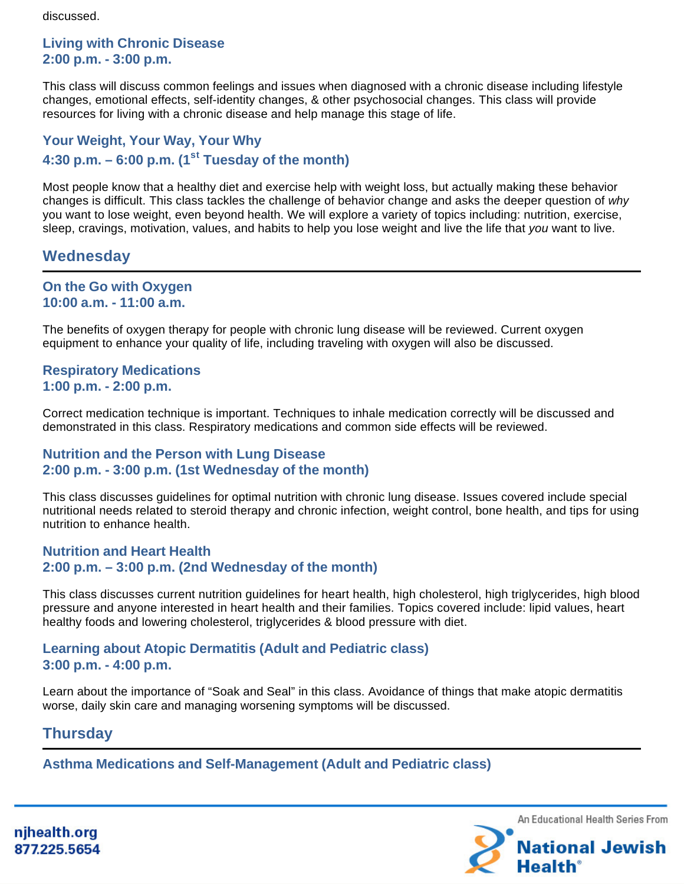discussed.

### **Living with Chronic Disease 2:00 p.m. - 3:00 p.m.**

This class will discuss common feelings and issues when diagnosed with a chronic disease including lifestyle changes, emotional effects, self-identity changes, & other psychosocial changes. This class will provide resources for living with a chronic disease and help manage this stage of life.

## **Your Weight, Your Way, Your Why 4:30 p.m. – 6:00 p.m. (1st Tuesday of the month)**

Most people know that a healthy diet and exercise help with weight loss, but actually making these behavior changes is difficult. This class tackles the challenge of behavior change and asks the deeper question of why you want to lose weight, even beyond health. We will explore a variety of topics including: nutrition, exercise, sleep, cravings, motivation, values, and habits to help you lose weight and live the life that you want to live.

## **Wednesday**

#### **On the Go with Oxygen 10:00 a.m. - 11:00 a.m.**

The benefits of oxygen therapy for people with chronic lung disease will be reviewed. Current oxygen equipment to enhance your quality of life, including traveling with oxygen will also be discussed.

### **Respiratory Medications 1:00 p.m. - 2:00 p.m.**

Correct medication technique is important. Techniques to inhale medication correctly will be discussed and demonstrated in this class. Respiratory medications and common side effects will be reviewed.

#### **Nutrition and the Person with Lung Disease 2:00 p.m. - 3:00 p.m. (1st Wednesday of the month)**

This class discusses guidelines for optimal nutrition with chronic lung disease. Issues covered include special nutritional needs related to steroid therapy and chronic infection, weight control, bone health, and tips for using nutrition to enhance health.

### **Nutrition and Heart Health 2:00 p.m. – 3:00 p.m. (2nd Wednesday of the month)**

This class discusses current nutrition guidelines for heart health, high cholesterol, high triglycerides, high blood pressure and anyone interested in heart health and their families. Topics covered include: lipid values, heart healthy foods and lowering cholesterol, triglycerides & blood pressure with diet.

### **Learning about Atopic Dermatitis (Adult and Pediatric class) 3:00 p.m. - 4:00 p.m.**

Learn about the importance of "Soak and Seal" in this class. Avoidance of things that make atopic dermatitis worse, daily skin care and managing worsening symptoms will be discussed.

## **Thursday**

**Asthma Medications and Self-Management (Adult and Pediatric class)**

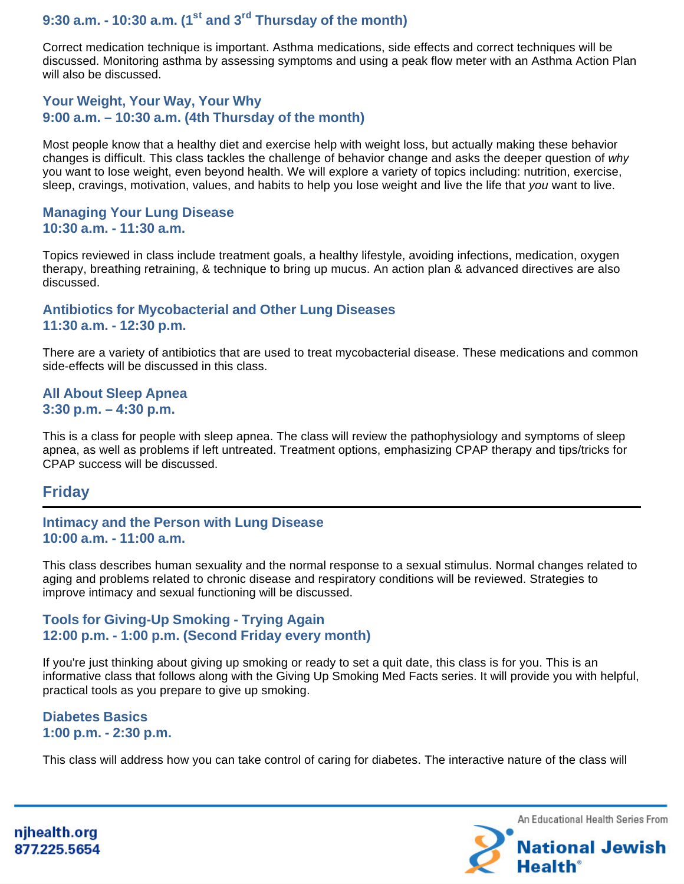**9:30 a.m. - 10:30 a.m. (1st and 3rd Thursday of the month)**

Correct medication technique is important. Asthma medications, side effects and correct techniques will be discussed. Monitoring asthma by assessing symptoms and using a peak flow meter with an Asthma Action Plan will also be discussed.

#### **Your Weight, Your Way, Your Why 9:00 a.m. – 10:30 a.m. (4th Thursday of the month)**

Most people know that a healthy diet and exercise help with weight loss, but actually making these behavior changes is difficult. This class tackles the challenge of behavior change and asks the deeper question of why you want to lose weight, even beyond health. We will explore a variety of topics including: nutrition, exercise, sleep, cravings, motivation, values, and habits to help you lose weight and live the life that you want to live.

#### **Managing Your Lung Disease 10:30 a.m. - 11:30 a.m.**

Topics reviewed in class include treatment goals, a healthy lifestyle, avoiding infections, medication, oxygen therapy, breathing retraining, & technique to bring up mucus. An action plan & advanced directives are also discussed.

#### **Antibiotics for Mycobacterial and Other Lung Diseases 11:30 a.m. - 12:30 p.m.**

There are a variety of antibiotics that are used to treat mycobacterial disease. These medications and common side-effects will be discussed in this class.

#### **All About Sleep Apnea 3:30 p.m. – 4:30 p.m.**

This is a class for people with sleep apnea. The class will review the pathophysiology and symptoms of sleep apnea, as well as problems if left untreated. Treatment options, emphasizing CPAP therapy and tips/tricks for CPAP success will be discussed.

## **Friday**

#### **Intimacy and the Person with Lung Disease 10:00 a.m. - 11:00 a.m.**

This class describes human sexuality and the normal response to a sexual stimulus. Normal changes related to aging and problems related to chronic disease and respiratory conditions will be reviewed. Strategies to improve intimacy and sexual functioning will be discussed.

#### **Tools for Giving-Up Smoking - Trying Again 12:00 p.m. - 1:00 p.m. (Second Friday every month)**

If you're just thinking about giving up smoking or ready to set a quit date, this class is for you. This is an informative class that follows along with the Giving Up Smoking Med Facts series. It will provide you with helpful, practical tools as you prepare to give up smoking.

#### **Diabetes Basics 1:00 p.m. - 2:30 p.m.**

This class will address how you can take control of caring for diabetes. The interactive nature of the class will



njhealth.org 877.225.5654